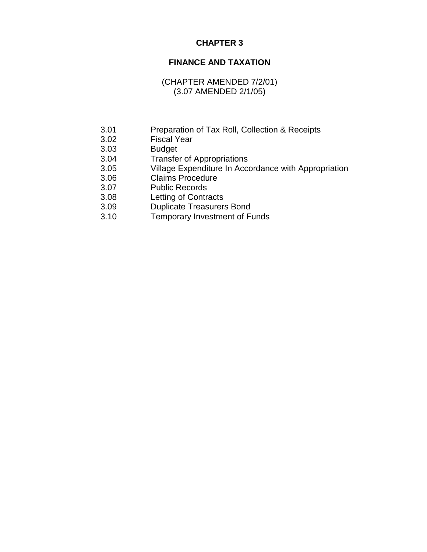# **CHAPTER 3**

# **FINANCE AND TAXATION**

# (CHAPTER AMENDED 7/2/01) (3.07 AMENDED 2/1/05)

- 3.01 Preparation of Tax Roll, Collection & Receipts
- 3.02 Fiscal Year
- 3.03 Budget
- 3.04 Transfer of Appropriations
- 3.05 Village Expenditure In Accordance with Appropriation
- 3.06 Claims Procedure
- 3.07 Public Records
- 3.08 Letting of Contracts
- 3.09 Duplicate Treasurers Bond
- 3.10 Temporary Investment of Funds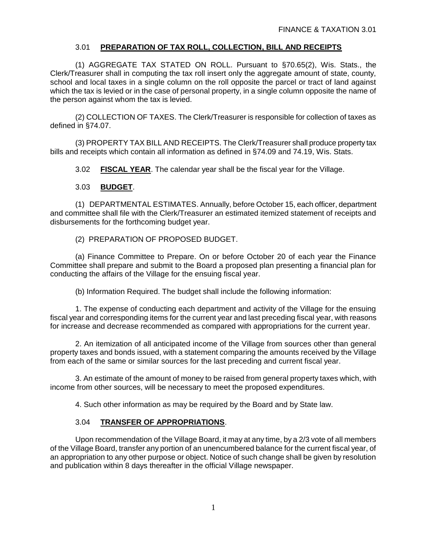## 3.01 **PREPARATION OF TAX ROLL, COLLECTION, BILL AND RECEIPTS**

(1) AGGREGATE TAX STATED ON ROLL. Pursuant to §70.65(2), Wis. Stats., the Clerk/Treasurer shall in computing the tax roll insert only the aggregate amount of state, county, school and local taxes in a single column on the roll opposite the parcel or tract of land against which the tax is levied or in the case of personal property, in a single column opposite the name of the person against whom the tax is levied.

(2) COLLECTION OF TAXES. The Clerk/Treasurer is responsible for collection of taxes as defined in §74.07.

(3) PROPERTY TAX BILL AND RECEIPTS. The Clerk/Treasurer shall produce property tax bills and receipts which contain all information as defined in §74.09 and 74.19, Wis. Stats.

3.02 **FISCAL YEAR**. The calendar year shall be the fiscal year for the Village.

#### 3.03 **BUDGET**.

(1) DEPARTMENTAL ESTIMATES. Annually, before October 15, each officer, department and committee shall file with the Clerk/Treasurer an estimated itemized statement of receipts and disbursements for the forthcoming budget year.

(2) PREPARATION OF PROPOSED BUDGET.

(a) Finance Committee to Prepare. On or before October 20 of each year the Finance Committee shall prepare and submit to the Board a proposed plan presenting a financial plan for conducting the affairs of the Village for the ensuing fiscal year.

(b) Information Required. The budget shall include the following information:

1. The expense of conducting each department and activity of the Village for the ensuing fiscal year and corresponding items for the current year and last preceding fiscal year, with reasons for increase and decrease recommended as compared with appropriations for the current year.

2. An itemization of all anticipated income of the Village from sources other than general property taxes and bonds issued, with a statement comparing the amounts received by the Village from each of the same or similar sources for the last preceding and current fiscal year.

3. An estimate of the amount of money to be raised from general property taxes which, with income from other sources, will be necessary to meet the proposed expenditures.

4. Such other information as may be required by the Board and by State law.

#### 3.04 **TRANSFER OF APPROPRIATIONS**.

Upon recommendation of the Village Board, it may at any time, by a 2/3 vote of all members of the Village Board, transfer any portion of an unencumbered balance for the current fiscal year, of an appropriation to any other purpose or object. Notice of such change shall be given by resolution and publication within 8 days thereafter in the official Village newspaper.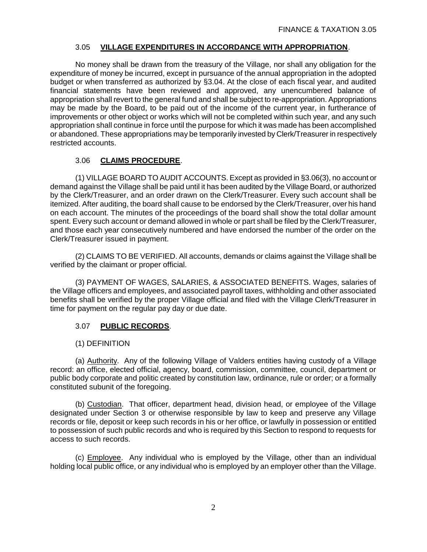## 3.05 **VILLAGE EXPENDITURES IN ACCORDANCE WITH APPROPRIATION**.

No money shall be drawn from the treasury of the Village, nor shall any obligation for the expenditure of money be incurred, except in pursuance of the annual appropriation in the adopted budget or when transferred as authorized by §3.04. At the close of each fiscal year, and audited financial statements have been reviewed and approved, any unencumbered balance of appropriation shall revert to the general fund and shall be subject to re-appropriation. Appropriations may be made by the Board, to be paid out of the income of the current year, in furtherance of improvements or other object or works which will not be completed within such year, and any such appropriation shall continue in force until the purpose for which it was made has been accomplished or abandoned. These appropriations may be temporarily invested by Clerk/Treasurer in respectively restricted accounts.

# 3.06 **CLAIMS PROCEDURE**.

(1) VILLAGE BOARD TO AUDIT ACCOUNTS. Except as provided in §3.06(3), no account or demand against the Village shall be paid until it has been audited by the Village Board, or authorized by the Clerk/Treasurer, and an order drawn on the Clerk/Treasurer. Every such account shall be itemized. After auditing, the board shall cause to be endorsed by the Clerk/Treasurer, over his hand on each account. The minutes of the proceedings of the board shall show the total dollar amount spent. Every such account or demand allowed in whole or part shall be filed by the Clerk/Treasurer, and those each year consecutively numbered and have endorsed the number of the order on the Clerk/Treasurer issued in payment.

(2) CLAIMS TO BE VERIFIED. All accounts, demands or claims against the Village shall be verified by the claimant or proper official.

(3) PAYMENT OF WAGES, SALARIES, & ASSOCIATED BENEFITS. Wages, salaries of the Village officers and employees, and associated payroll taxes, withholding and other associated benefits shall be verified by the proper Village official and filed with the Village Clerk/Treasurer in time for payment on the regular pay day or due date.

## 3.07 **PUBLIC RECORDS**.

## (1) DEFINITION

(a) Authority. Any of the following Village of Valders entities having custody of a Village record: an office, elected official, agency, board, commission, committee, council, department or public body corporate and politic created by constitution law, ordinance, rule or order; or a formally constituted subunit of the foregoing.

(b) Custodian. That officer, department head, division head, or employee of the Village designated under Section 3 or otherwise responsible by law to keep and preserve any Village records or file, deposit or keep such records in his or her office, or lawfully in possession or entitled to possession of such public records and who is required by this Section to respond to requests for access to such records.

(c) Employee. Any individual who is employed by the Village, other than an individual holding local public office, or any individual who is employed by an employer other than the Village.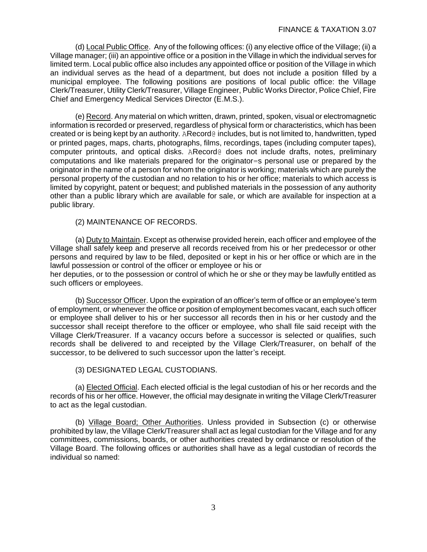(d) Local Public Office. Any of the following offices: (i) any elective office of the Village; (ii) a Village manager; (iii) an appointive office or a position in the Village in which the individual serves for limited term. Local public office also includes any appointed office or position of the Village in which an individual serves as the head of a department, but does not include a position filled by a municipal employee. The following positions are positions of local public office: the Village Clerk/Treasurer, Utility Clerk/Treasurer, Village Engineer, Public Works Director, Police Chief, Fire Chief and Emergency Medical Services Director (E.M.S.).

(e) Record. Any material on which written, drawn, printed, spoken, visual or electromagnetic information is recorded or preserved, regardless of physical form or characteristics, which has been created or is being kept by an authority. ARecord@ includes, but is not limited to, handwritten, typed or printed pages, maps, charts, photographs, films, recordings, tapes (including computer tapes), computer printouts, and optical disks. ARecord@ does not include drafts, notes, preliminary computations and like materials prepared for the originator=s personal use or prepared by the originator in the name of a person for whom the originator is working; materials which are purely the personal property of the custodian and no relation to his or her office; materials to which access is limited by copyright, patent or bequest; and published materials in the possession of any authority other than a public library which are available for sale, or which are available for inspection at a public library.

(2) MAINTENANCE OF RECORDS.

(a) Duty to Maintain. Except as otherwise provided herein, each officer and employee of the Village shall safely keep and preserve all records received from his or her predecessor or other persons and required by law to be filed, deposited or kept in his or her office or which are in the lawful possession or control of the officer or employee or his or her deputies, or to the possession or control of which he or she or they may be lawfully entitled as such officers or employees.

(b) Successor Officer. Upon the expiration of an officer's term of office or an employee's term of employment, or whenever the office or position of employment becomes vacant, each such officer or employee shall deliver to his or her successor all records then in his or her custody and the successor shall receipt therefore to the officer or employee, who shall file said receipt with the Village Clerk/Treasurer. If a vacancy occurs before a successor is selected or qualifies, such records shall be delivered to and receipted by the Village Clerk/Treasurer, on behalf of the successor, to be delivered to such successor upon the latter's receipt.

(3) DESIGNATED LEGAL CUSTODIANS.

(a) Elected Official. Each elected official is the legal custodian of his or her records and the records of his or her office. However, the official may designate in writing the Village Clerk/Treasurer to act as the legal custodian.

(b) Village Board; Other Authorities. Unless provided in Subsection (c) or otherwise prohibited by law, the Village Clerk/Treasurer shall act as legal custodian for the Village and for any committees, commissions, boards, or other authorities created by ordinance or resolution of the Village Board. The following offices or authorities shall have as a legal custodian of records the individual so named: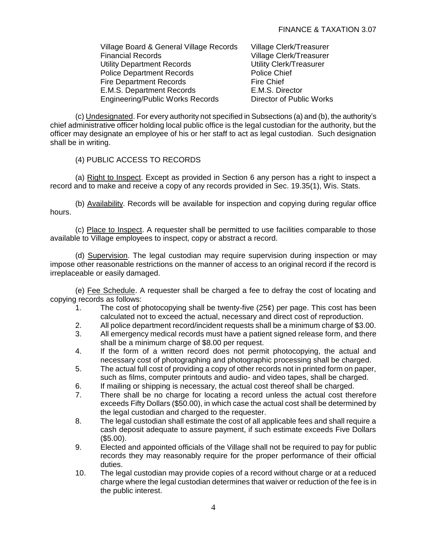| Village Board & General Village Records |  |
|-----------------------------------------|--|
| <b>Financial Records</b>                |  |
| <b>Utility Department Records</b>       |  |
| <b>Police Department Records</b>        |  |
| <b>Fire Department Records</b>          |  |
| E.M.S. Department Records               |  |
| <b>Engineering/Public Works Records</b> |  |

Village Clerk/Treasurer Village Clerk/Treasurer Utility Clerk/Treasurer Police Chief Fire Chief E.M.S. Director Director of Public Works

(c) Undesignated. For every authority not specified in Subsections (a) and (b), the authority's chief administrative officer holding local public office is the legal custodian for the authority, but the officer may designate an employee of his or her staff to act as legal custodian. Such designation shall be in writing.

(4) PUBLIC ACCESS TO RECORDS

(a) Right to Inspect. Except as provided in Section 6 any person has a right to inspect a record and to make and receive a copy of any records provided in Sec. 19.35(1), Wis. Stats.

(b) Availability. Records will be available for inspection and copying during regular office hours.

(c) Place to Inspect. A requester shall be permitted to use facilities comparable to those available to Village employees to inspect, copy or abstract a record.

(d) Supervision. The legal custodian may require supervision during inspection or may impose other reasonable restrictions on the manner of access to an original record if the record is irreplaceable or easily damaged.

(e) Fee Schedule. A requester shall be charged a fee to defray the cost of locating and copying records as follows:

- 1. The cost of photocopying shall be twenty-five (25¢) per page. This cost has been calculated not to exceed the actual, necessary and direct cost of reproduction.
- 2. All police department record/incident requests shall be a minimum charge of \$3.00.
- 3. All emergency medical records must have a patient signed release form, and there shall be a minimum charge of \$8.00 per request.
- 4. If the form of a written record does not permit photocopying, the actual and necessary cost of photographing and photographic processing shall be charged.
- 5. The actual full cost of providing a copy of other records not in printed form on paper, such as films, computer printouts and audio- and video tapes, shall be charged.
- 6. If mailing or shipping is necessary, the actual cost thereof shall be charged.
- 7. There shall be no charge for locating a record unless the actual cost therefore exceeds Fifty Dollars (\$50.00), in which case the actual cost shall be determined by the legal custodian and charged to the requester.
- 8. The legal custodian shall estimate the cost of all applicable fees and shall require a cash deposit adequate to assure payment, if such estimate exceeds Five Dollars (\$5.00).
- 9. Elected and appointed officials of the Village shall not be required to pay for public records they may reasonably require for the proper performance of their official duties.
- 10. The legal custodian may provide copies of a record without charge or at a reduced charge where the legal custodian determines that waiver or reduction of the fee is in the public interest.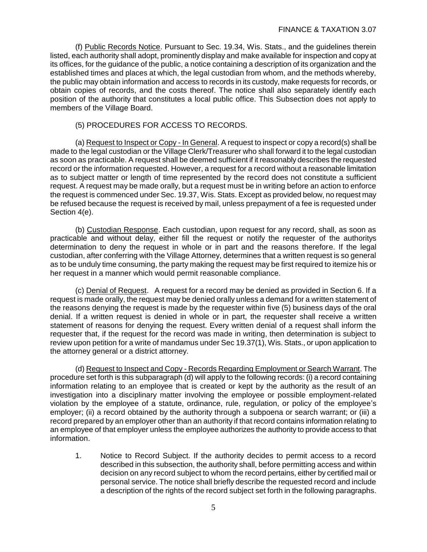(f) Public Records Notice. Pursuant to Sec. 19.34, Wis. Stats., and the guidelines therein listed, each authority shall adopt, prominently display and make available for inspection and copy at its offices, for the guidance of the public, a notice containing a description of its organization and the established times and places at which, the legal custodian from whom, and the methods whereby, the public may obtain information and access to records in its custody, make requests for records, or obtain copies of records, and the costs thereof. The notice shall also separately identify each position of the authority that constitutes a local public office. This Subsection does not apply to members of the Village Board.

#### (5) PROCEDURES FOR ACCESS TO RECORDS.

(a) Request to Inspect or Copy - In General. A request to inspect or copy a record(s) shall be made to the legal custodian or the Village Clerk/Treasurer who shall forward it to the legal custodian as soon as practicable. A request shall be deemed sufficient if it reasonably describes the requested record or the information requested. However, a request for a record without a reasonable limitation as to subject matter or length of time represented by the record does not constitute a sufficient request. A request may be made orally, but a request must be in writing before an action to enforce the request is commenced under Sec. 19.37, Wis. Stats. Except as provided below, no request may be refused because the request is received by mail, unless prepayment of a fee is requested under Section 4(e).

(b) Custodian Response. Each custodian, upon request for any record, shall, as soon as practicable and without delay, either fill the request or notify the requester of the authoritys determination to deny the request in whole or in part and the reasons therefore. If the legal custodian, after conferring with the Village Attorney, determines that a written request is so general as to be unduly time consuming, the party making the request may be first required to itemize his or her request in a manner which would permit reasonable compliance.

(c) Denial of Request. A request for a record may be denied as provided in Section 6. If a request is made orally, the request may be denied orally unless a demand for a written statement of the reasons denying the request is made by the requester within five (5) business days of the oral denial. If a written request is denied in whole or in part, the requester shall receive a written statement of reasons for denying the request. Every written denial of a request shall inform the requester that, if the request for the record was made in writing, then determination is subject to review upon petition for a write of mandamus under Sec 19.37(1), Wis. Stats., or upon application to the attorney general or a district attorney.

(d) Request to Inspect and Copy - Records Regarding Employment or Search Warrant. The procedure set forth is this subparagraph (d) will apply to the following records: (i) a record containing information relating to an employee that is created or kept by the authority as the result of an investigation into a disciplinary matter involving the employee or possible employment-related violation by the employee of a statute, ordinance, rule, regulation, or policy of the employee's employer; (ii) a record obtained by the authority through a subpoena or search warrant; or (iii) a record prepared by an employer other than an authority if that record contains information relating to an employee of that employer unless the employee authorizes the authority to provide access to that information.

1. Notice to Record Subject. If the authority decides to permit access to a record described in this subsection, the authority shall, before permitting access and within decision on any record subject to whom the record pertains, either by certified mail or personal service. The notice shall briefly describe the requested record and include a description of the rights of the record subject set forth in the following paragraphs.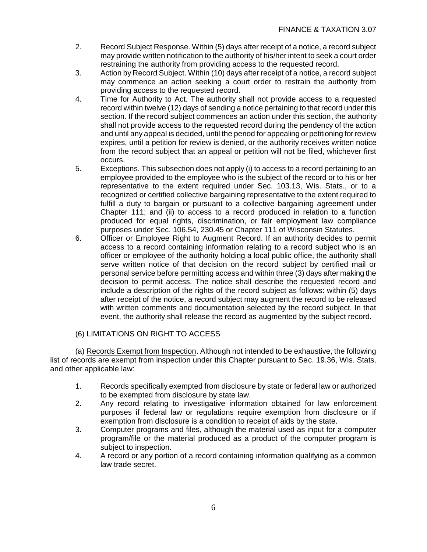- 2. Record Subject Response. Within (5) days after receipt of a notice, a record subject may provide written notification to the authority of his/her intent to seek a court order restraining the authority from providing access to the requested record.
- 3. Action by Record Subject. Within (10) days after receipt of a notice, a record subject may commence an action seeking a court order to restrain the authority from providing access to the requested record.
- 4. Time for Authority to Act. The authority shall not provide access to a requested record within twelve (12) days of sending a notice pertaining to that record under this section. If the record subject commences an action under this section, the authority shall not provide access to the requested record during the pendency of the action and until any appeal is decided, until the period for appealing or petitioning for review expires, until a petition for review is denied, or the authority receives written notice from the record subject that an appeal or petition will not be filed, whichever first occurs.
- 5. Exceptions. This subsection does not apply (i) to access to a record pertaining to an employee provided to the employee who is the subject of the record or to his or her representative to the extent required under Sec. 103.13, Wis. Stats., or to a recognized or certified collective bargaining representative to the extent required to fulfill a duty to bargain or pursuant to a collective bargaining agreement under Chapter 111; and (ii) to access to a record produced in relation to a function produced for equal rights, discrimination, or fair employment law compliance purposes under Sec. 106.54, 230.45 or Chapter 111 of Wisconsin Statutes.
- 6. Officer or Employee Right to Augment Record. If an authority decides to permit access to a record containing information relating to a record subject who is an officer or employee of the authority holding a local public office, the authority shall serve written notice of that decision on the record subject by certified mail or personal service before permitting access and within three (3) days after making the decision to permit access. The notice shall describe the requested record and include a description of the rights of the record subject as follows: within (5) days after receipt of the notice, a record subject may augment the record to be released with written comments and documentation selected by the record subject. In that event, the authority shall release the record as augmented by the subject record.

## (6) LIMITATIONS ON RIGHT TO ACCESS

(a) Records Exempt from Inspection. Although not intended to be exhaustive, the following list of records are exempt from inspection under this Chapter pursuant to Sec. 19.36, Wis. Stats. and other applicable law:

- 1. Records specifically exempted from disclosure by state or federal law or authorized to be exempted from disclosure by state law.
- 2. Any record relating to investigative information obtained for law enforcement purposes if federal law or regulations require exemption from disclosure or if exemption from disclosure is a condition to receipt of aids by the state.
- 3. Computer programs and files, although the material used as input for a computer program/file or the material produced as a product of the computer program is subject to inspection.
- 4. A record or any portion of a record containing information qualifying as a common law trade secret.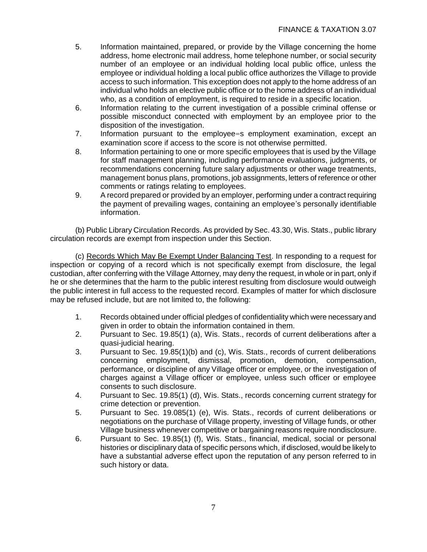- 5. Information maintained, prepared, or provide by the Village concerning the home address, home electronic mail address, home telephone number, or social security number of an employee or an individual holding local public office, unless the employee or individual holding a local public office authorizes the Village to provide access to such information. This exception does not apply to the home address of an individual who holds an elective public office or to the home address of an individual who, as a condition of employment, is required to reside in a specific location.
- 6. Information relating to the current investigation of a possible criminal offense or possible misconduct connected with employment by an employee prior to the disposition of the investigation.
- 7. Information pursuant to the employee=s employment examination, except an examination score if access to the score is not otherwise permitted.
- 8. Information pertaining to one or more specific employees that is used by the Village for staff management planning, including performance evaluations, judgments, or recommendations concerning future salary adjustments or other wage treatments, management bonus plans, promotions, job assignments, letters of reference or other comments or ratings relating to employees.
- 9. A record prepared or provided by an employer, performing under a contract requiring the payment of prevailing wages, containing an employee's personally identifiable information.

(b) Public Library Circulation Records. As provided by Sec. 43.30, Wis. Stats., public library circulation records are exempt from inspection under this Section.

(c) Records Which May Be Exempt Under Balancing Test. In responding to a request for inspection or copying of a record which is not specifically exempt from disclosure, the legal custodian, after conferring with the Village Attorney, may deny the request, in whole or in part, only if he or she determines that the harm to the public interest resulting from disclosure would outweigh the public interest in full access to the requested record. Examples of matter for which disclosure may be refused include, but are not limited to, the following:

- 1. Records obtained under official pledges of confidentiality which were necessary and given in order to obtain the information contained in them.
- 2. Pursuant to Sec. 19.85(1) (a), Wis. Stats., records of current deliberations after a quasi-judicial hearing.
- 3. Pursuant to Sec. 19.85(1)(b) and (c), Wis. Stats., records of current deliberations concerning employment, dismissal, promotion, demotion, compensation, performance, or discipline of any Village officer or employee, or the investigation of charges against a Village officer or employee, unless such officer or employee consents to such disclosure.
- 4. Pursuant to Sec. 19.85(1) (d), Wis. Stats., records concerning current strategy for crime detection or prevention.
- 5. Pursuant to Sec. 19.085(1) (e), Wis. Stats., records of current deliberations or negotiations on the purchase of Village property, investing of Village funds, or other Village business whenever competitive or bargaining reasons require nondisclosure.
- 6. Pursuant to Sec. 19.85(1) (f), Wis. Stats., financial, medical, social or personal histories or disciplinary data of specific persons which, if disclosed, would be likely to have a substantial adverse effect upon the reputation of any person referred to in such history or data.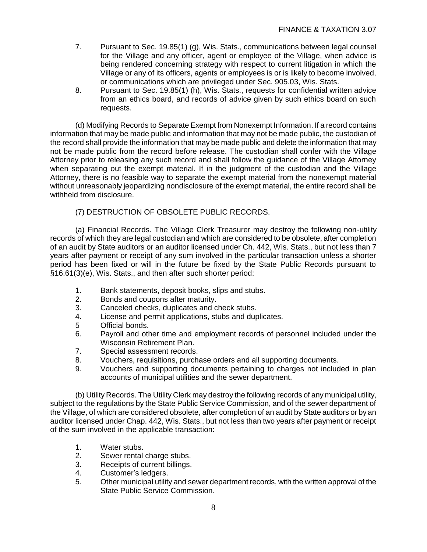- 7. Pursuant to Sec. 19.85(1) (g), Wis. Stats., communications between legal counsel for the Village and any officer, agent or employee of the Village, when advice is being rendered concerning strategy with respect to current litigation in which the Village or any of its officers, agents or employees is or is likely to become involved, or communications which are privileged under Sec. 905.03, Wis. Stats.
- 8. Pursuant to Sec. 19.85(1) (h), Wis. Stats., requests for confidential written advice from an ethics board, and records of advice given by such ethics board on such requests.

(d) Modifying Records to Separate Exempt from Nonexempt Information. If a record contains information that may be made public and information that may not be made public, the custodian of the record shall provide the information that may be made public and delete the information that may not be made public from the record before release. The custodian shall confer with the Village Attorney prior to releasing any such record and shall follow the guidance of the Village Attorney when separating out the exempt material. If in the judgment of the custodian and the Village Attorney, there is no feasible way to separate the exempt material from the nonexempt material without unreasonably jeopardizing nondisclosure of the exempt material, the entire record shall be withheld from disclosure.

(7) DESTRUCTION OF OBSOLETE PUBLIC RECORDS.

(a) Financial Records. The Village Clerk Treasurer may destroy the following non-utility records of which they are legal custodian and which are considered to be obsolete, after completion of an audit by State auditors or an auditor licensed under Ch. 442, Wis. Stats., but not less than 7 years after payment or receipt of any sum involved in the particular transaction unless a shorter period has been fixed or will in the future be fixed by the State Public Records pursuant to §16.61(3)(e), Wis. Stats., and then after such shorter period:

- 1. Bank statements, deposit books, slips and stubs.
- 2. Bonds and coupons after maturity.
- 3. Canceled checks, duplicates and check stubs.
- 4. License and permit applications, stubs and duplicates.
- 5 Official bonds.
- 6. Payroll and other time and employment records of personnel included under the Wisconsin Retirement Plan.
- 7. Special assessment records.
- 8. Vouchers, requisitions, purchase orders and all supporting documents.<br>9. Vouchers and supporting documents pertaining to charges not include
- 9. Vouchers and supporting documents pertaining to charges not included in plan accounts of municipal utilities and the sewer department.

(b) Utility Records. The Utility Clerk may destroy the following records of any municipal utility, subject to the regulations by the State Public Service Commission, and of the sewer department of the Village, of which are considered obsolete, after completion of an audit by State auditors or by an auditor licensed under Chap. 442, Wis. Stats., but not less than two years after payment or receipt of the sum involved in the applicable transaction:

- 1. Water stubs.
- 2. Sewer rental charge stubs.
- 3. Receipts of current billings.
- 4. Customer's ledgers.
- 5. Other municipal utility and sewer department records, with the written approval of the State Public Service Commission.